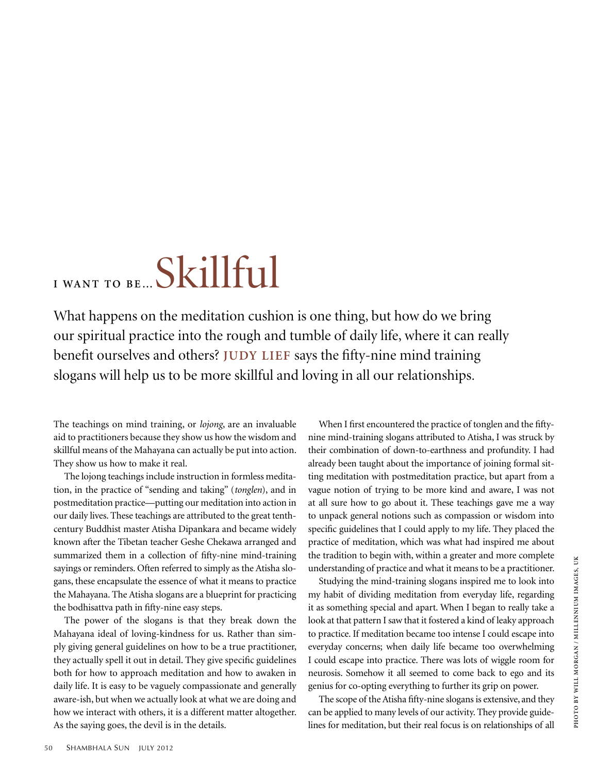## **I want to be…**Skillful

What happens on the meditation cushion is one thing, but how do we bring our spiritual practice into the rough and tumble of daily life, where it can really benefit ourselves and others? **JUDY LIEF** says the fifty-nine mind training slogans will help us to be more skillful and loving in all our relationships.

The teachings on mind training, or *lojong*, are an invaluable aid to practitioners because they show us how the wisdom and skillful means of the Mahayana can actually be put into action. They show us how to make it real.

The lojong teachings include instruction in formless meditation, in the practice of "sending and taking" (*tonglen*), and in postmeditation practice—putting our meditation into action in our daily lives. These teachings are attributed to the great tenthcentury Buddhist master Atisha Dipankara and became widely known after the Tibetan teacher Geshe Chekawa arranged and summarized them in a collection of fifty-nine mind-training sayings or reminders. Often referred to simply as the Atisha slogans, these encapsulate the essence of what it means to practice the Mahayana. The Atisha slogans are a blueprint for practicing the bodhisattva path in fifty-nine easy steps.

The power of the slogans is that they break down the Mahayana ideal of loving-kindness for us. Rather than simply giving general guidelines on how to be a true practitioner, they actually spell it out in detail. They give specific guidelines both for how to approach meditation and how to awaken in daily life. It is easy to be vaguely compassionate and generally aware-ish, but when we actually look at what we are doing and how we interact with others, it is a different matter altogether. As the saying goes, the devil is in the details.

When I first encountered the practice of tonglen and the fiftynine mind-training slogans attributed to Atisha, I was struck by their combination of down-to-earthness and profundity. I had already been taught about the importance of joining formal sitting meditation with postmeditation practice, but apart from a vague notion of trying to be more kind and aware, I was not at all sure how to go about it. These teachings gave me a way to unpack general notions such as compassion or wisdom into specific guidelines that I could apply to my life. They placed the practice of meditation, which was what had inspired me about the tradition to begin with, within a greater and more complete understanding of practice and what it means to be a practitioner.

Studying the mind-training slogans inspired me to look into my habit of dividing meditation from everyday life, regarding it as something special and apart. When I began to really take a look at that pattern I saw that it fostered a kind of leaky approach to practice. If meditation became too intense I could escape into everyday concerns; when daily life became too overwhelming I could escape into practice. There was lots of wiggle room for neurosis. Somehow it all seemed to come back to ego and its genius for co-opting everything to further its grip on power.

The scope of the Atisha fifty-nine slogans is extensive, and they can be applied to many levels of our activity. They provide guidelines for meditation, but their real focus is on relationships of all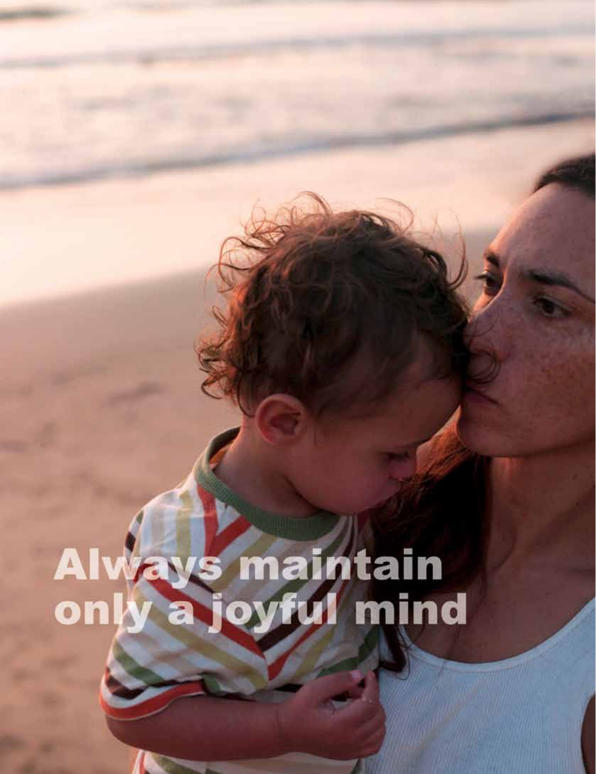## Always maintain<br>only a joyful mind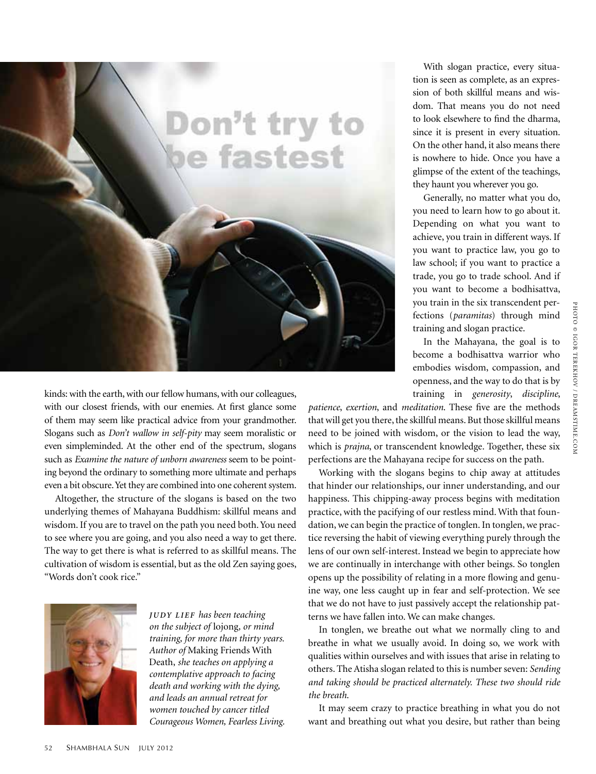

kinds: with the earth, with our fellow humans, with our colleagues, with our closest friends, with our enemies. At first glance some of them may seem like practical advice from your grandmother. Slogans such as *Don't wallow in self-pity* may seem moralistic or even simpleminded. At the other end of the spectrum, slogans such as *Examine the nature of unborn awareness* seem to be pointing beyond the ordinary to something more ultimate and perhaps even a bit obscure. Yet they are combined into one coherent system.

Altogether, the structure of the slogans is based on the two underlying themes of Mahayana Buddhism: skillful means and wisdom. If you are to travel on the path you need both. You need to see where you are going, and you also need a way to get there. The way to get there is what is referred to as skillful means. The cultivation of wisdom is essential, but as the old Zen saying goes, "Words don't cook rice."



*J udy Lief has been teaching on the subject of* lojong*, or mind training, for more than thirty years. Author of* Making Friends With Death, *she teaches on applying a contemplative approach to facing death and working with the dying, and leads an annual retreat for women touched by cancer titled Courageous Women, Fearless Living.*

With slogan practice, every situation is seen as complete, as an expression of both skillful means and wisdom. That means you do not need to look elsewhere to find the dharma, since it is present in every situation. On the other hand, it also means there is nowhere to hide. Once you have a glimpse of the extent of the teachings, they haunt you wherever you go.

Generally, no matter what you do, you need to learn how to go about it. Depending on what you want to achieve, you train in different ways. If you want to practice law, you go to law school; if you want to practice a trade, you go to trade school. And if you want to become a bodhisattva, you train in the six transcendent perfections (*paramitas*) through mind training and slogan practice.

In the Mahayana, the goal is to become a bodhisattva warrior who embodies wisdom, compassion, and openness, and the way to do that is by training in *generosity*, *discipline*,

*patience*, *exertion*, and *meditation*. These five are the methods that will get you there, the skillful means. But those skillful means need to be joined with wisdom, or the vision to lead the way, which is *prajna*, or transcendent knowledge. Together, these six perfections are the Mahayana recipe for success on the path.

Working with the slogans begins to chip away at attitudes that hinder our relationships, our inner understanding, and our happiness. This chipping-away process begins with meditation practice, with the pacifying of our restless mind. With that foundation, we can begin the practice of tonglen. In tonglen, we practice reversing the habit of viewing everything purely through the lens of our own self-interest. Instead we begin to appreciate how we are continually in interchange with other beings. So tonglen opens up the possibility of relating in a more flowing and genuine way, one less caught up in fear and self-protection. We see that we do not have to just passively accept the relationship patterns we have fallen into. We can make changes.

In tonglen, we breathe out what we normally cling to and breathe in what we usually avoid. In doing so, we work with qualities within ourselves and with issues that arise in relating to others. The Atisha slogan related to this is number seven: *Sending and taking should be practiced alternately. These two should ride the breath*.

It may seem crazy to practice breathing in what you do not want and breathing out what you desire, but rather than being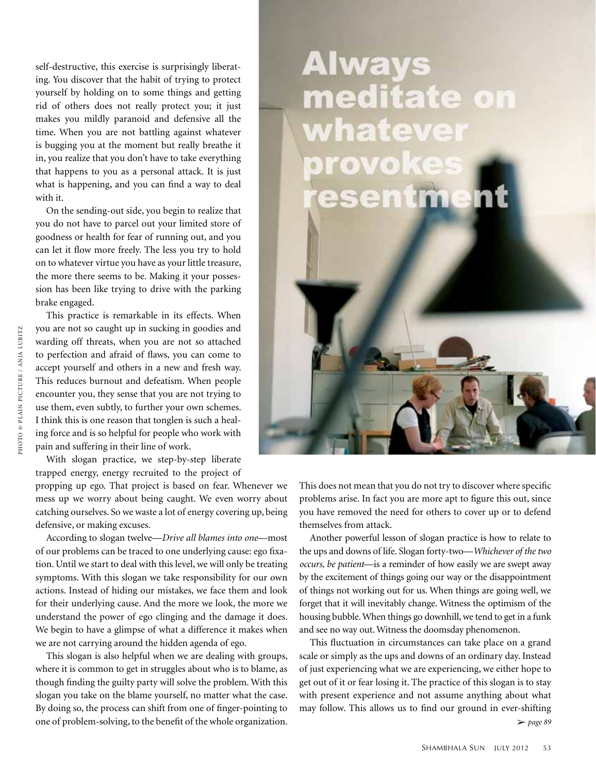self-destructive, this exercise is surprisingly liberating. You discover that the habit of trying to protect yourself by holding on to some things and getting rid of others does not really protect you; it just makes you mildly paranoid and defensive all the time. When you are not battling against whatever is bugging you at the moment but really breathe it in, you realize that you don't have to take everything that happens to you as a personal attack. It is just what is happening, and you can find a way to deal with it.

On the sending-out side, you begin to realize that you do not have to parcel out your limited store of goodness or health for fear of running out, and you can let it flow more freely. The less you try to hold on to whatever virtue you have as your little treasure, the more there seems to be. Making it your possession has been like trying to drive with the parking brake engaged.

This practice is remarkable in its effects. When you are not so caught up in sucking in goodies and warding off threats, when you are not so attached to perfection and afraid of flaws, you can come to accept yourself and others in a new and fresh way. This reduces burnout and defeatism. When people encounter you, they sense that you are not trying to use them, even subtly, to further your own schemes. I think this is one reason that tonglen is such a healing force and is so helpful for people who work with pain and suffering in their line of work.

With slogan practice, we step-by-step liberate trapped energy, energy recruited to the project of

propping up ego. That project is based on fear. Whenever we mess up we worry about being caught. We even worry about catching ourselves. So we waste a lot of energy covering up, being defensive, or making excuses.

According to slogan twelve—*Drive all blames into one*—most of our problems can be traced to one underlying cause: ego fixation. Until we start to deal with this level, we will only be treating symptoms. With this slogan we take responsibility for our own actions. Instead of hiding our mistakes, we face them and look for their underlying cause. And the more we look, the more we understand the power of ego clinging and the damage it does. We begin to have a glimpse of what a difference it makes when we are not carrying around the hidden agenda of ego.

This slogan is also helpful when we are dealing with groups, where it is common to get in struggles about who is to blame, as though finding the guilty party will solve the problem. With this slogan you take on the blame yourself, no matter what the case. By doing so, the process can shift from one of finger-pointing to one of problem-solving, to the benefit of the whole organization.





Another powerful lesson of slogan practice is how to relate to the ups and downs of life. Slogan forty-two—*Whichever of the two occurs, be patient*—is a reminder of how easily we are swept away by the excitement of things going our way or the disappointment of things not working out for us. When things are going well, we forget that it will inevitably change. Witness the optimism of the housing bubble. When things go downhill, we tend to get in a funk and see no way out. Witness the doomsday phenomenon.

This fluctuation in circumstances can take place on a grand scale or simply as the ups and downs of an ordinary day. Instead of just experiencing what we are experiencing, we either hope to get out of it or fear losing it. The practice of this slogan is to stay with present experience and not assume anything about what may follow. This allows us to find our ground in ever-shifting ➢ *page 89*